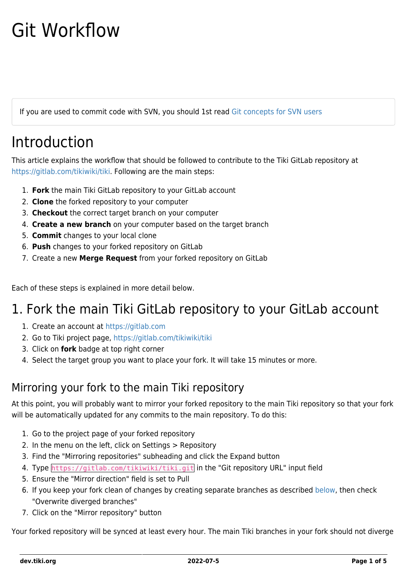# Git Workflow

If you are used to commit code with SVN, you should 1st read [Git concepts for SVN users](https://dev.tiki.org/Git-concepts-for-SVN-users)

## Introduction

This article explains the workflow that should be followed to contribute to the Tiki GitLab repository at <https://gitlab.com/tikiwiki/tiki>. Following are the main steps:

- 1. **Fork** the main Tiki GitLab repository to your GitLab account
- 2. **Clone** the forked repository to your computer
- 3. **Checkout** the correct target branch on your computer
- 4. **Create a new branch** on your computer based on the target branch
- 5. **Commit** changes to your local clone
- 6. **Push** changes to your forked repository on GitLab
- 7. Create a new **Merge Request** from your forked repository on GitLab

Each of these steps is explained in more detail below.

### 1. Fork the main Tiki GitLab repository to your GitLab account

- 1. Create an account at<https://gitlab.com>
- 2. Go to Tiki project page,<https://gitlab.com/tikiwiki/tiki>
- 3. Click on **fork** badge at top right corner
- 4. Select the target group you want to place your fork. It will take 15 minutes or more.

#### Mirroring your fork to the main Tiki repository

At this point, you will probably want to mirror your forked repository to the main Tiki repository so that your fork will be automatically updated for any commits to the main repository. To do this:

- 1. Go to the project page of your forked repository
- 2. In the menu on the left, click on Settings > Repository
- 3. Find the "Mirroring repositories" subheading and click the Expand button
- 4. Type https://gitlab.com/tikiwiki/tiki.git in the "Git repository URL" input field
- 5. Ensure the "Mirror direction" field is set to Pull
- 6. If you keep your fork clean of changes by creating separate branches as described [below](#page--1-0), then check "Overwrite diverged branches"
- 7. Click on the "Mirror repository" button

Your forked repository will be synced at least every hour. The main Tiki branches in your fork should not diverge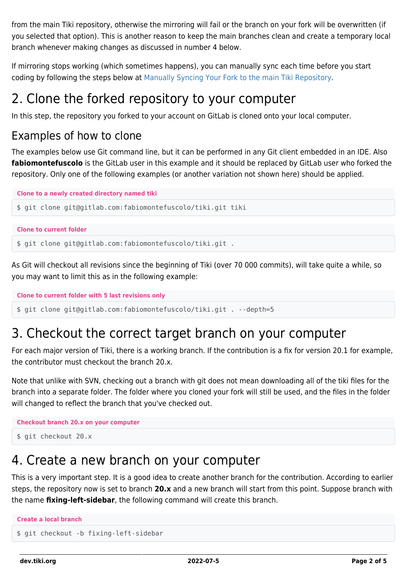from the main Tiki repository, otherwise the mirroring will fail or the branch on your fork will be overwritten (if you selected that option). This is another reason to keep the main branches clean and create a temporary local branch whenever making changes as discussed in number 4 below.

If mirroring stops working (which sometimes happens), you can manually sync each time before you start coding by following the steps below at [Manually Syncing Your Fork to the main Tiki Repository.](#page--1-0)

### 2. Clone the forked repository to your computer

In this step, the repository you forked to your account on GitLab is cloned onto your local computer.

#### Examples of how to clone

The examples below use Git command line, but it can be performed in any Git client embedded in an IDE. Also **fabiomontefuscolo** is the GitLab user in this example and it should be replaced by GitLab user who forked the repository. Only one of the following examples (or another variation not shown here) should be applied.

```
Clone to a newly created directory named tiki
$ git clone git@gitlab.com:fabiomontefuscolo/tiki.git tiki
```

```
Clone to current folder
```
\$ git clone git@gitlab.com:fabiomontefuscolo/tiki.git .

As Git will checkout all revisions since the beginning of Tiki (over 70 000 commits), will take quite a while, so you may want to limit this as in the following example:

```
Clone to current folder with 5 last revisions only
$ git clone git@gitlab.com:fabiomontefuscolo/tiki.git . --depth=5
```
### 3. Checkout the correct target branch on your computer

For each major version of Tiki, there is a working branch. If the contribution is a fix for version 20.1 for example, the contributor must checkout the branch 20.x.

Note that unlike with SVN, checking out a branch with git does not mean downloading all of the tiki files for the branch into a separate folder. The folder where you cloned your fork will still be used, and the files in the folder will changed to reflect the branch that you've checked out.

```
Checkout branch 20.x on your computer
```

```
$ git checkout 20.x
```
### 4. Create a new branch on your computer

This is a very important step. It is a good idea to create another branch for the contribution. According to earlier steps, the repository now is set to branch **20.x** and a new branch will start from this point. Suppose branch with the name **fixing-left-sidebar**, the following command will create this branch.

```
Create a local branch
$ git checkout -b fixing-left-sidebar
```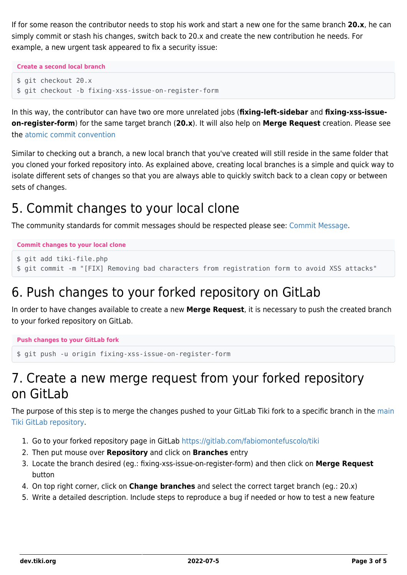If for some reason the contributor needs to stop his work and start a new one for the same branch **20.x**, he can simply commit or stash his changes, switch back to 20.x and create the new contribution he needs. For example, a new urgent task appeared to fix a security issue:

**Create a second local branch**

```
$ git checkout 20.x
$ git checkout -b fixing-xss-issue-on-register-form
```
In this way, the contributor can have two ore more unrelated jobs (**fixing-left-sidebar** and **fixing-xss-issueon-register-form**) for the same target branch (**20.x**). It will also help on **Merge Request** creation. Please see the [atomic commit convention](https://dev.tiki.org/Atomic-Commit-Convention)

Similar to checking out a branch, a new local branch that you've created will still reside in the same folder that you cloned your forked repository into. As explained above, creating local branches is a simple and quick way to isolate different sets of changes so that you are always able to quickly switch back to a clean copy or between sets of changes.

### 5. Commit changes to your local clone

The community standards for commit messages should be respected please see: [Commit Message.](https://dev.tiki.org/Commit-Message)

#### **Commit changes to your local clone**

```
$ git add tiki-file.php
$ git commit -m "[FIX] Removing bad characters from registration form to avoid XSS attacks"
```
### 6. Push changes to your forked repository on GitLab

In order to have changes available to create a new **Merge Request**, it is necessary to push the created branch to your forked repository on GitLab.

```
Push changes to your GitLab fork
```

```
$ git push -u origin fixing-xss-issue-on-register-form
```
### 7. Create a new merge request from your forked repository on GitLab

The purpose of this step is to merge the changes pushed to your GitLab Tiki fork to a specific branch in the [main](https://gitlab.com/tikiwiki/tiki?nav_source=navbar) [Tiki GitLab repository](https://gitlab.com/tikiwiki/tiki?nav_source=navbar).

- 1. Go to your forked repository page in GitLab<https://gitlab.com/fabiomontefuscolo/tiki>
- 2. Then put mouse over **Repository** and click on **Branches** entry
- 3. Locate the branch desired (eg.: fixing-xss-issue-on-register-form) and then click on **Merge Request** button
- 4. On top right corner, click on **Change branches** and select the correct target branch (eg.: 20.x)
- 5. Write a detailed description. Include steps to reproduce a bug if needed or how to test a new feature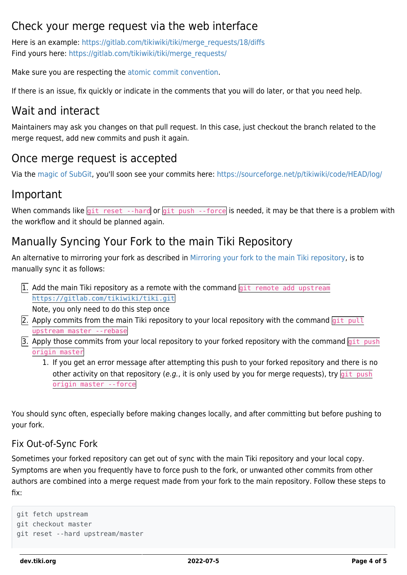#### Check your merge request via the web interface

Here is an example: [https://gitlab.com/tikiwiki/tiki/merge\\_requests/18/diffs](https://gitlab.com/tikiwiki/tiki/merge_requests/18/diffs) Find yours here: [https://gitlab.com/tikiwiki/tiki/merge\\_requests/](https://gitlab.com/tikiwiki/tiki/merge_requests/)

Make sure you are respecting the [atomic commit convention](https://dev.tiki.org/Atomic-Commit-Convention).

If there is an issue, fix quickly or indicate in the comments that you will do later, or that you need help.

#### Wait and interact

Maintainers may ask you changes on that pull request. In this case, just checkout the branch related to the merge request, add new commits and push it again.

#### Once merge request is accepted

Via the [magic of SubGit](https://dev.tiki.org/Git-and-SVN-combined-workflow), you'll soon see your commits here:<https://sourceforge.net/p/tikiwiki/code/HEAD/log/>

#### Important

When commands like  $git$  reset --hard or  $git$  push --force is needed, it may be that there is a problem with the workflow and it should be planned again.

#### Manually Syncing Your Fork to the main Tiki Repository

An alternative to mirroring your fork as described in [Mirroring your fork to the main Tiki repository](#page--1-0), is to manually sync it as follows:

 $\overline{1}$ . Add the main Tiki repository as a remote with the command  $\overline{q}$ it remote add upstream <https://gitlab.com/tikiwiki/tiki.git>

Note, you only need to do this step once

- 2. Apply commits from the main Tiki repository to your local repository with the command  $\frac{q_i}{q_i}$  pull upstream master --rebase
- 3. Apply those commits from your local repository to your forked repository with the command  $g$ it push origin master
	- 1. If you get an error message after attempting this push to your forked repository and there is no other activity on that repository (e.g., it is only used by you for merge requests), try  $\frac{q_i}{q_i}$  push origin master --force

You should sync often, especially before making changes locally, and after committing but before pushing to your fork.

#### Fix Out-of-Sync Fork

Sometimes your forked repository can get out of sync with the main Tiki repository and your local copy. Symptoms are when you frequently have to force push to the fork, or unwanted other commits from other authors are combined into a merge request made from your fork to the main repository. Follow these steps to fix:

```
git fetch upstream
git checkout master
git reset --hard upstream/master
```